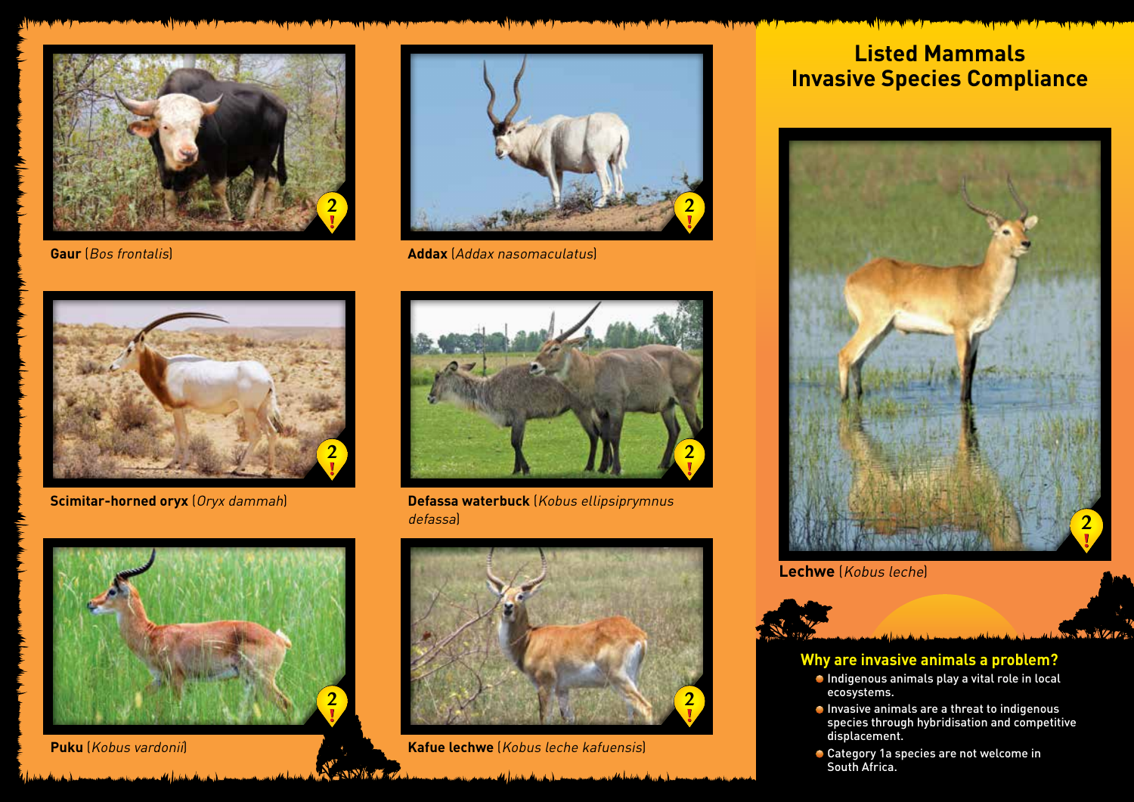



**Gaur** (Bos frontalis) **Addax** (Addax nasomaculatus)



**Scimitar-horned oryx** (Oryx dammah)



**Defassa waterbuck** (Kobus ellipsiprymnus defassa)



**Puku** (Kobus vardonii) **Kafue lechwe** (Kobus leche kafuensis)

# **Listed Mammals Invasive Species Compliance**



**Lechwe** (Kobus leche)

#### **Why are invasive animals a problem?**

- Indigenous animals play a vital role in local ecosystems.
- Invasive animals are a threat to indigenous species through hybridisation and competitive displacement.

**ANTICO** 

**Category 1a species are not welcome in** South Africa.